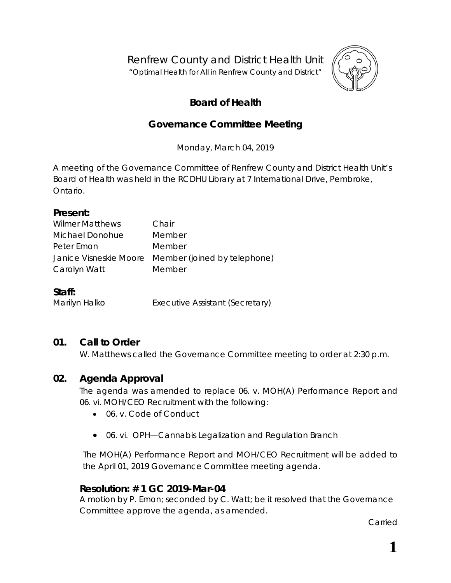Renfrew County and District Health Unit

"*Optimal Health for All in Renfrew County and District"*



# **Board of Health**

## **Governance Committee Meeting**

Monday, March 04, 2019

A meeting of the Governance Committee of Renfrew County and District Health Unit's Board of Health was held in the RCDHU Library at 7 International Drive, Pembroke, Ontario.

#### **Present:**

| <b>Wilmer Matthews</b> | Chair                                               |
|------------------------|-----------------------------------------------------|
| Michael Donohue        | Member                                              |
| Peter Emon             | Member                                              |
|                        | Janice Visneskie Moore Member (joined by telephone) |
| Carolyn Watt           | Member                                              |
|                        |                                                     |

#### **Staff:**

Marilyn Halko **Executive Assistant (Secretary)** 

### **01. Call to Order**

W. Matthews called the Governance Committee meeting to order at 2:30 p.m.

### **02. Agenda Approval**

The agenda was amended to replace 06. v. MOH(A) Performance Report and 06. vi. MOH/CEO Recruitment with the following:

- 06. v. Code of Conduct
- 06. vi. OPH—Cannabis Legalization and Regulation Branch

The MOH(A) Performance Report and MOH/CEO Recruitment will be added to the April 01, 2019 Governance Committee meeting agenda.

### **Resolution: # 1 GC 2019-Mar-04**

A motion by P. Emon; seconded by C. Watt; be it resolved that the Governance Committee approve the agenda, as amended.

Carried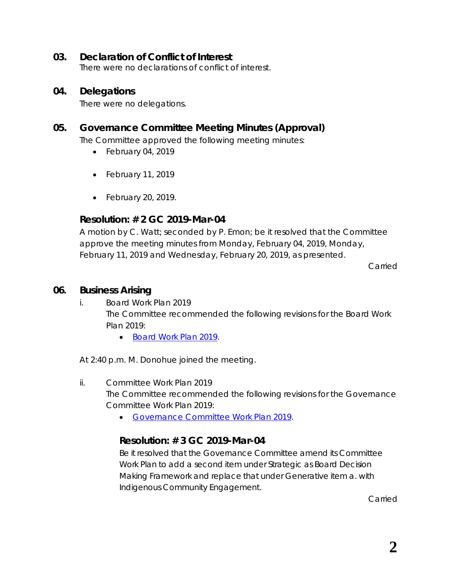#### **03. Declaration of Conflict of Interest**

There were no declarations of conflict of interest.

#### **04. Delegations**

There were no delegations.

### **05. Governance Committee Meeting Minutes (Approval)**

The Committee approved the following meeting minutes:

- February 04, 2019
- February 11, 2019
- February 20, 2019.

#### **Resolution: # 2 GC 2019-Mar-04**

A motion by C. Watt; seconded by P. Emon; be it resolved that the Committee approve the meeting minutes from Monday, February 04, 2019, Monday, February 11, 2019 and Wednesday, February 20, 2019, as presented.

Carried

#### **06. Business Arising**

- i. Board Work Plan 2019 The Committee recommended the following revisions for the Board Work Plan 2019:
	- *[Board Work Plan 2019](https://www.rcdhu.com/wp-content/uploads/2019/04/RCDHU-Board-Work-Plan-2019-Draft-2019-Mar-04-after-meeting.pdf)*.

At 2:40 p.m. M. Donohue joined the meeting.

ii. Committee Work Plan 2019

The Committee recommended the following revisions for the Governance Committee Work Plan 2019:

• *[Governance Committee Work Plan 2019](https://www.rcdhu.com/wp-content/uploads/2019/04/Governance-Committee-Work-Plan-2019-Draft-2019-Mar-04-after-meeting.pdf)*.

#### **Resolution: # 3 GC 2019-Mar-04**

Be it resolved that the Governance Committee amend its Committee Work Plan to add a second item under Strategic as Board Decision Making Framework and replace that under Generative item a. with Indigenous Community Engagement.

Carried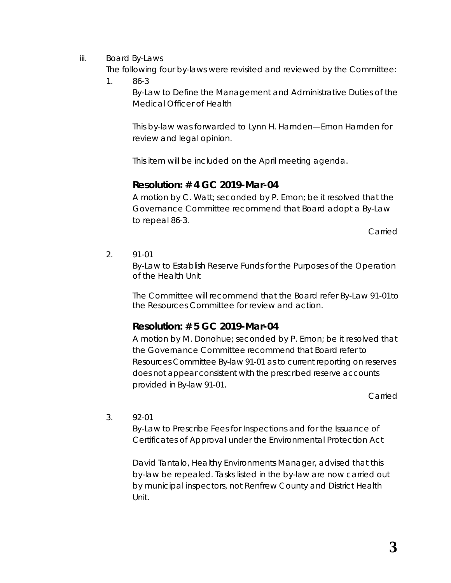- iii. Board By-Laws
	- The following four by-laws were revisited and reviewed by the Committee:
	- 1. 86-3

By-Law to Define the Management and Administrative Duties of the Medical Officer of Health

This by-law was forwarded to Lynn H. Harnden—Emon Harnden for review and legal opinion.

This item will be included on the April meeting agenda.

### **Resolution: # 4 GC 2019-Mar-04**

A motion by C. Watt; seconded by P. Emon; be it resolved that the Governance Committee recommend that Board adopt a By-Law to repeal 86-3.

Carried

2. 91-01

By-Law to Establish Reserve Funds for the Purposes of the Operation of the Health Unit

The Committee will recommend that the Board refer By-Law 91-01to the Resources Committee for review and action.

### **Resolution: # 5 GC 2019-Mar-04**

A motion by M. Donohue; seconded by P. Emon; be it resolved that the Governance Committee recommend that Board refer to Resources Committee By-law 91-01 as to current reporting on reserves does not appear consistent with the prescribed reserve accounts provided in By-law 91-01.

Carried

3. 92-01

By-Law to Prescribe Fees for Inspections and for the Issuance of Certificates of Approval under the Environmental Protection Act

David Tantalo, Healthy Environments Manager, advised that this by-law be repealed. Tasks listed in the by-law are now carried out by municipal inspectors, not Renfrew County and District Health Unit.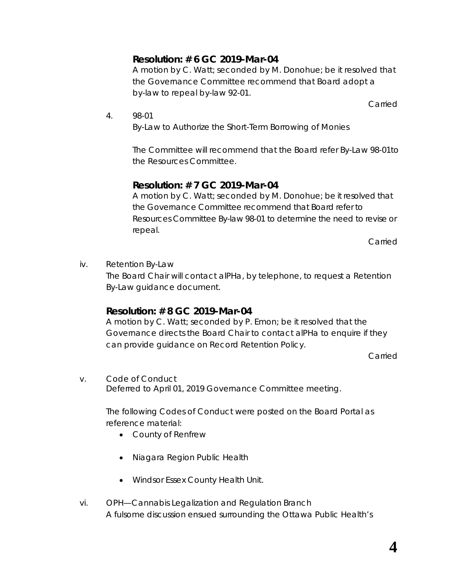### **Resolution: # 6 GC 2019-Mar-04**

A motion by C. Watt; seconded by M. Donohue; be it resolved that the Governance Committee recommend that Board adopt a by-law to repeal by-law 92-01.

Carried

4. 98-01

By-Law to Authorize the Short-Term Borrowing of Monies

The Committee will recommend that the Board refer By-Law 98-01to the Resources Committee.

### **Resolution: # 7 GC 2019-Mar-04**

A motion by C. Watt; seconded by M. Donohue; be it resolved that the Governance Committee recommend that Board refer to Resources Committee By-law 98-01 to determine the need to revise or repeal.

Carried

iv. Retention By-Law The Board Chair will contact alPHa, by telephone, to request a Retention By-Law guidance document.

### **Resolution: # 8 GC 2019-Mar-04**

A motion by C. Watt; seconded by P. Emon; be it resolved that the Governance directs the Board Chair to contact alPHa to enquire if they can provide guidance on Record Retention Policy.

Carried

v. Code of Conduct Deferred to April 01, 2019 Governance Committee meeting.

> The following Codes of Conduct were posted on the Board Portal as reference material:

- County of Renfrew
- Niagara Region Public Health
- Windsor Essex County Health Unit.
- vi. OPH—Cannabis Legalization and Regulation Branch A fulsome discussion ensued surrounding the Ottawa Public Health's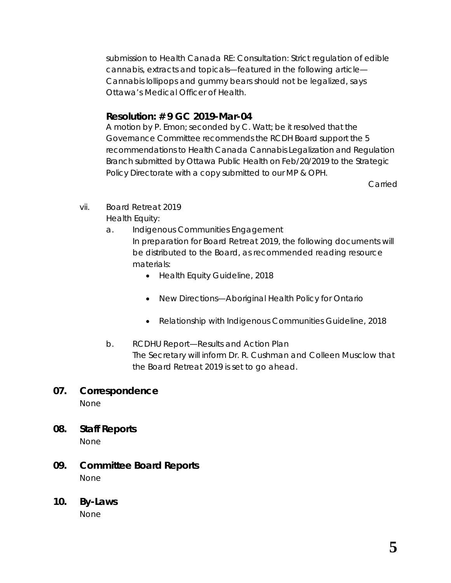submission to Health Canada *RE: Consultation: Strict regulation of edible cannabis, extracts and topicals*—featured in the following article— *Cannabis lollipops and gummy bears should not be legalized, says Ottawa's Medical Officer of Health*.

## **Resolution: # 9 GC 2019-Mar-04**

A motion by P. Emon; seconded by C. Watt; be it resolved that the Governance Committee recommends the RCDH Board support the 5 recommendations to Health Canada Cannabis Legalization and Regulation Branch submitted by Ottawa Public Health on Feb/20/2019 to the Strategic Policy Directorate with a copy submitted to our MP & OPH.

Carried

- vii. Board Retreat 2019 Health Equity:
	- a. Indigenous Communities Engagement In preparation for Board Retreat 2019, the following documents will be distributed to the Board, as recommended reading resource materials:
		- *Health Equity Guideline, 2018*
		- *New Directions—Aboriginal Health Policy for Ontario*
		- *Relationship with Indigenous Communities Guideline, 2018*
	- b. RCDHU Report—Results and Action Plan The Secretary will inform Dr. R. Cushman and Colleen Musclow that the Board Retreat 2019 is set to go ahead.

## **07. Correspondence**

None

- **08. Staff Reports** None
- **09. Committee Board Reports** None
- **10. By-Laws**

None